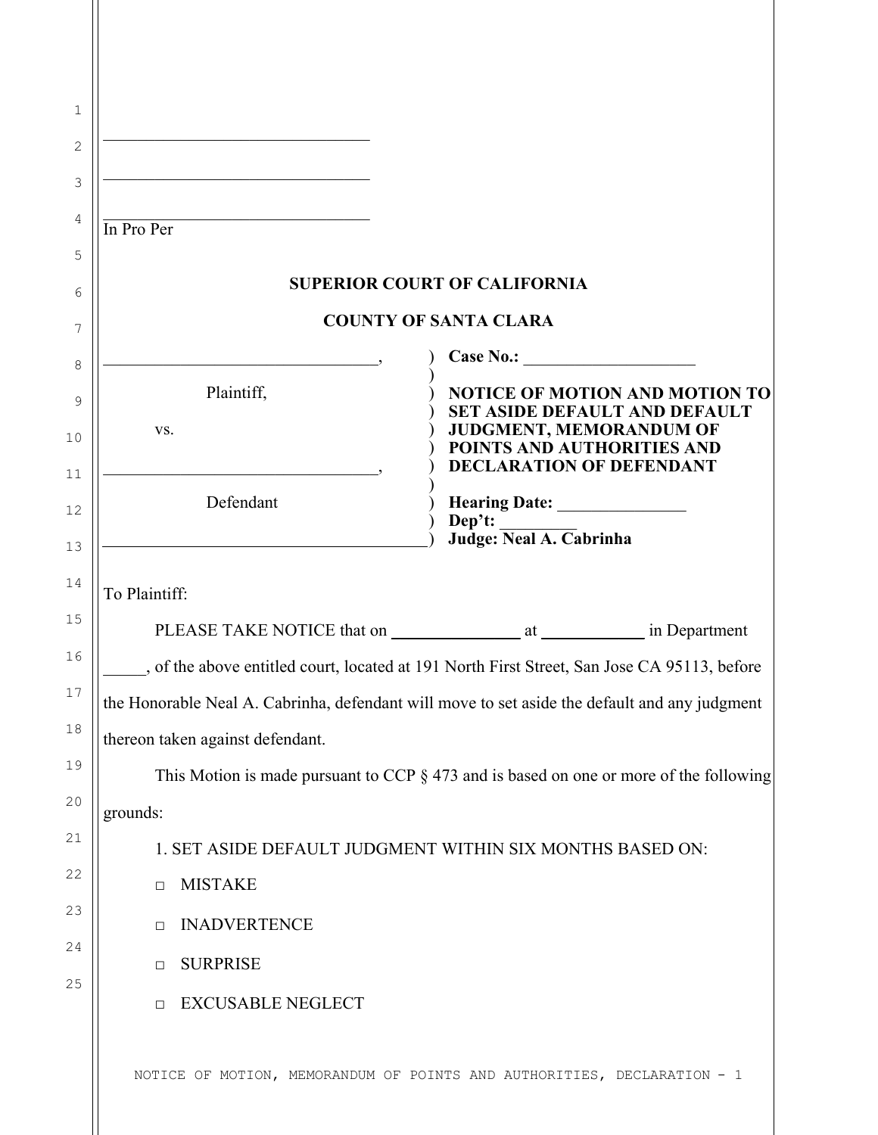| <u> 1989 - Johann John Stone, market fan it ferskearre fan it ferskearre fan it ferskearre fan it ferskearre fan i</u><br>In Pro Per |                                                                                                          |
|--------------------------------------------------------------------------------------------------------------------------------------|----------------------------------------------------------------------------------------------------------|
|                                                                                                                                      |                                                                                                          |
|                                                                                                                                      | <b>SUPERIOR COURT OF CALIFORNIA</b><br><b>COUNTY OF SANTA CLARA</b>                                      |
|                                                                                                                                      |                                                                                                          |
| Plaintiff,<br>VS.                                                                                                                    | <b>NOTICE OF MOTION AND MOTION TO</b><br><b>SET ASIDE DEFAULT AND DEFAULT</b><br>JUDGMENT, MEMORANDUM OF |
|                                                                                                                                      | POINTS AND AUTHORITIES AND<br><b>DECLARATION OF DEFENDANT</b>                                            |
| Defendant                                                                                                                            | Dep't:                                                                                                   |
|                                                                                                                                      | Judge: Neal A. Cabrinha                                                                                  |
| To Plaintiff:                                                                                                                        |                                                                                                          |
|                                                                                                                                      |                                                                                                          |
|                                                                                                                                      | __, of the above entitled court, located at 191 North First Street, San Jose CA 95113, before            |
|                                                                                                                                      | the Honorable Neal A. Cabrinha, defendant will move to set aside the default and any judgment            |
| thereon taken against defendant.                                                                                                     |                                                                                                          |
|                                                                                                                                      | This Motion is made pursuant to CCP $\S$ 473 and is based on one or more of the following                |
| grounds:                                                                                                                             |                                                                                                          |
|                                                                                                                                      | 1. SET ASIDE DEFAULT JUDGMENT WITHIN SIX MONTHS BASED ON:                                                |
| <b>MISTAKE</b><br>$\Box$                                                                                                             |                                                                                                          |
| <b>INADVERTENCE</b><br>$\Box$                                                                                                        |                                                                                                          |
|                                                                                                                                      |                                                                                                          |
| <b>SURPRISE</b><br>$\Box$                                                                                                            |                                                                                                          |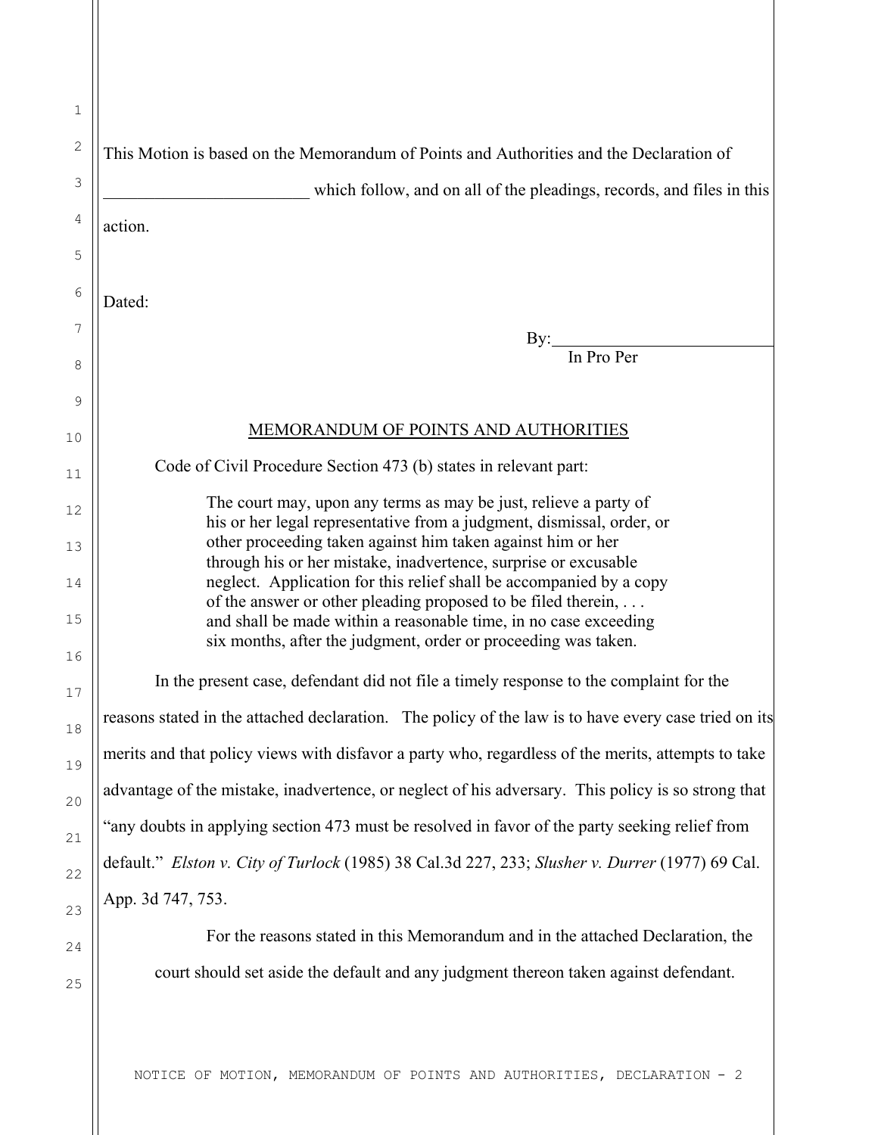| 1             |                                                                                                                                           |
|---------------|-------------------------------------------------------------------------------------------------------------------------------------------|
| $\sqrt{2}$    | This Motion is based on the Memorandum of Points and Authorities and the Declaration of                                                   |
| $\mathcal{S}$ | which follow, and on all of the pleadings, records, and files in this                                                                     |
| 4             | action.                                                                                                                                   |
| 5             |                                                                                                                                           |
| 6             | Dated:                                                                                                                                    |
| 7             | By:                                                                                                                                       |
| 8             | In Pro Per                                                                                                                                |
| 9             |                                                                                                                                           |
| 10            | <b>MEMORANDUM OF POINTS AND AUTHORITIES</b>                                                                                               |
| 11            | Code of Civil Procedure Section 473 (b) states in relevant part:                                                                          |
| 12            | The court may, upon any terms as may be just, relieve a party of<br>his or her legal representative from a judgment, dismissal, order, or |
| 13            | other proceeding taken against him taken against him or her                                                                               |
| 14            | through his or her mistake, inadvertence, surprise or excusable<br>neglect. Application for this relief shall be accompanied by a copy    |
| 15            | of the answer or other pleading proposed to be filed therein,<br>and shall be made within a reasonable time, in no case exceeding         |
| 16            | six months, after the judgment, order or proceeding was taken.                                                                            |
| 17            | In the present case, defendant did not file a timely response to the complaint for the                                                    |
| 18            | reasons stated in the attached declaration. The policy of the law is to have every case tried on its                                      |
| 19            | merits and that policy views with disfavor a party who, regardless of the merits, attempts to take                                        |
| 20            | advantage of the mistake, inadvertence, or neglect of his adversary. This policy is so strong that                                        |
| 21            | "any doubts in applying section 473 must be resolved in favor of the party seeking relief from                                            |
| 22            | default." Elston v. City of Turlock (1985) 38 Cal.3d 227, 233; Slusher v. Durrer (1977) 69 Cal.                                           |
| 23            | App. 3d 747, 753.                                                                                                                         |
| 24            | For the reasons stated in this Memorandum and in the attached Declaration, the                                                            |
| 25            | court should set aside the default and any judgment thereon taken against defendant.                                                      |